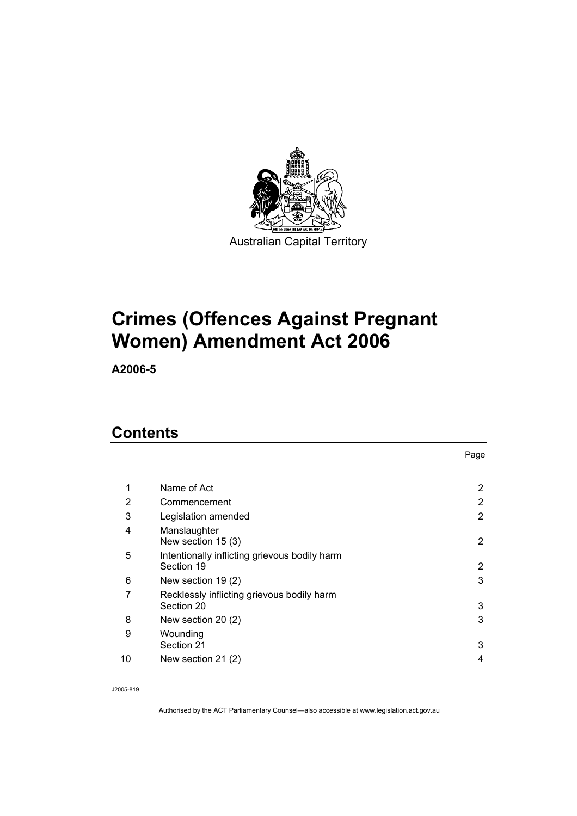

# **Crimes (Offences Against Pregnant Women) Amendment Act 2006**

**A2006-5** 

### **Contents**

|    |                                                             | Page           |
|----|-------------------------------------------------------------|----------------|
|    |                                                             |                |
| 1  | Name of Act                                                 | 2              |
| 2  | Commencement                                                | $\overline{2}$ |
| 3  | Legislation amended                                         | 2              |
| 4  | Manslaughter<br>New section $15(3)$                         | 2              |
| 5  | Intentionally inflicting grievous bodily harm<br>Section 19 | 2              |
| 6  | New section 19 (2)                                          | 3              |
| 7  | Recklessly inflicting grievous bodily harm<br>Section 20    | 3              |
| 8  | New section 20 (2)                                          | 3              |
| 9  | Wounding<br>Section 21                                      | 3              |
| 10 | New section 21 (2)                                          | 4              |

J2005-819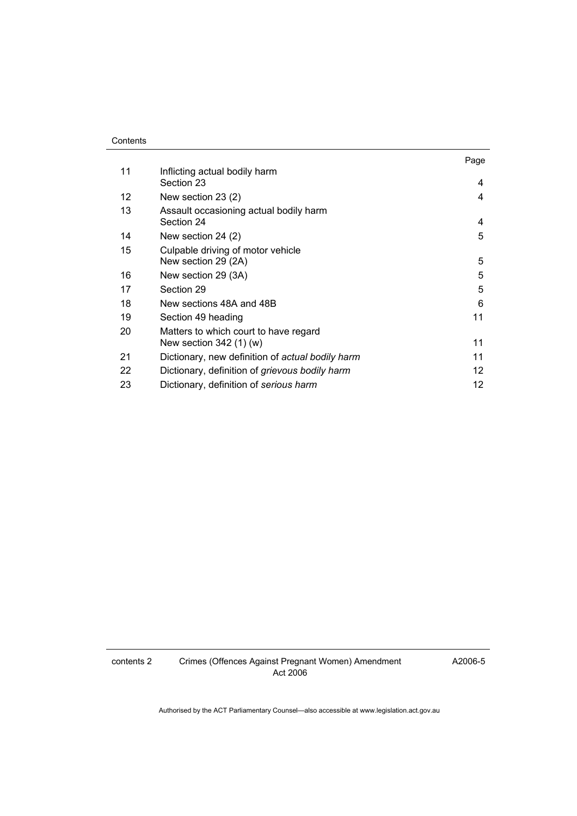#### **Contents**

|    |                                                                  | Page            |
|----|------------------------------------------------------------------|-----------------|
| 11 | Inflicting actual bodily harm<br>Section 23                      | 4               |
| 12 | New section 23 (2)                                               | 4               |
| 13 | Assault occasioning actual bodily harm<br>Section 24             | 4               |
| 14 | New section 24 (2)                                               | 5               |
| 15 | Culpable driving of motor vehicle<br>New section 29 (2A)         | 5               |
| 16 | New section 29 (3A)                                              | 5               |
| 17 | Section 29                                                       | 5               |
| 18 | New sections 48A and 48B                                         | 6               |
| 19 | Section 49 heading                                               | 11              |
| 20 | Matters to which court to have regard<br>New section $342(1)(w)$ | 11              |
| 21 | Dictionary, new definition of actual bodily harm                 | 11              |
| 22 | Dictionary, definition of <i>grievous bodily harm</i>            | 12 <sup>2</sup> |
| 23 | Dictionary, definition of serious harm                           | 12              |

contents 2 Crimes (Offences Against Pregnant Women) Amendment Act 2006

A2006-5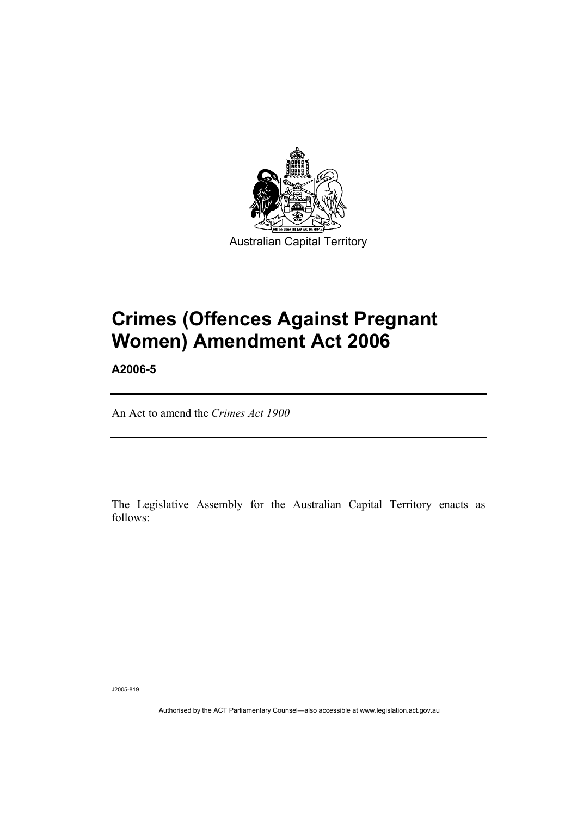

# **Crimes (Offences Against Pregnant Women) Amendment Act 2006**

**A2006-5** 

An Act to amend the *Crimes Act 1900*

The Legislative Assembly for the Australian Capital Territory enacts as follows:

J2005-819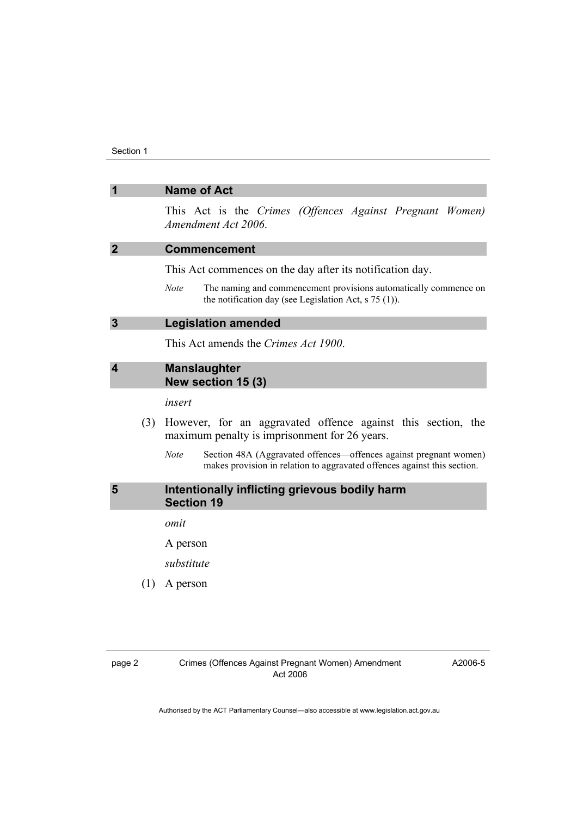| $\overline{1}$          |     | <b>Name of Act</b>                                                                                                                                           |
|-------------------------|-----|--------------------------------------------------------------------------------------------------------------------------------------------------------------|
|                         |     | This Act is the Crimes (Offences Against Pregnant Women)<br>Amendment Act 2006.                                                                              |
| $\overline{2}$          |     | <b>Commencement</b>                                                                                                                                          |
|                         |     | This Act commences on the day after its notification day.                                                                                                    |
|                         |     | Note<br>The naming and commencement provisions automatically commence on<br>the notification day (see Legislation Act, $s$ 75 (1)).                          |
| $\overline{3}$          |     | <b>Legislation amended</b>                                                                                                                                   |
|                         |     | This Act amends the Crimes Act 1900.                                                                                                                         |
| $\overline{\mathbf{4}}$ |     | <b>Manslaughter</b><br>New section 15 (3)                                                                                                                    |
|                         |     | insert                                                                                                                                                       |
|                         | (3) | However, for an aggravated offence against this section, the<br>maximum penalty is imprisonment for 26 years.                                                |
|                         |     | Section 48A (Aggravated offences—offences against pregnant women)<br><b>Note</b><br>makes provision in relation to aggravated offences against this section. |
| 5                       |     | Intentionally inflicting grievous bodily harm<br><b>Section 19</b>                                                                                           |
|                         |     | omit                                                                                                                                                         |
|                         |     | A person                                                                                                                                                     |
|                         |     | substitute                                                                                                                                                   |
|                         | (1) | A person                                                                                                                                                     |
|                         |     |                                                                                                                                                              |

A2006-5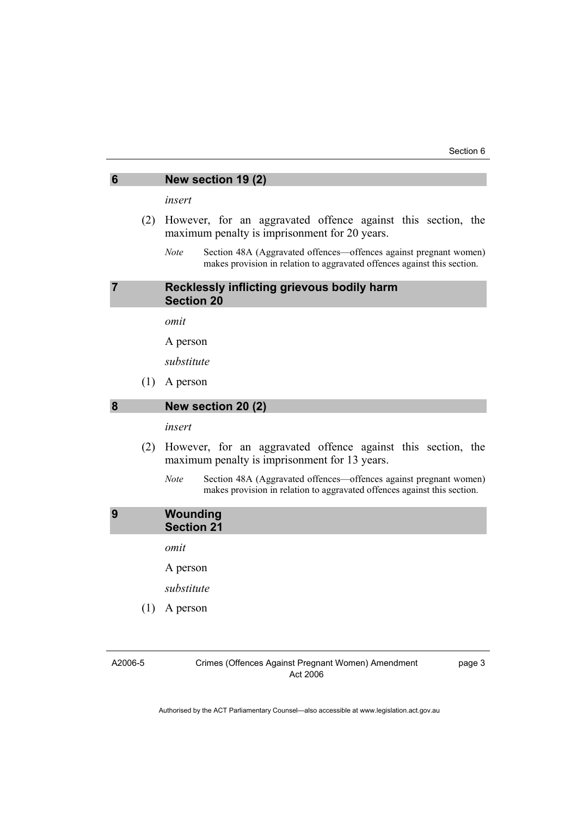| 6 | New section 19 (2)                                               |  |  |  |  |  |
|---|------------------------------------------------------------------|--|--|--|--|--|
|   | insert                                                           |  |  |  |  |  |
|   | (2) However, for an aggravated offence against this section, the |  |  |  |  |  |
|   | maximum penalty is imprisonment for 20 years.                    |  |  |  |  |  |

*Note* Section 48A (Aggravated offences—offences against pregnant women) makes provision in relation to aggravated offences against this section.

#### **7 Recklessly inflicting grievous bodily harm Section 20**

*omit* 

A person

*substitute* 

(1) A person

#### **8 New section 20 (2)**

*insert* 

- (2) However, for an aggravated offence against this section, the maximum penalty is imprisonment for 13 years.
	- *Note* Section 48A (Aggravated offences—offences against pregnant women) makes provision in relation to aggravated offences against this section.

#### **9 Wounding Section 21**

*omit* 

A person

*substitute* 

(1) A person

A2006-5

Crimes (Offences Against Pregnant Women) Amendment Act 2006

page 3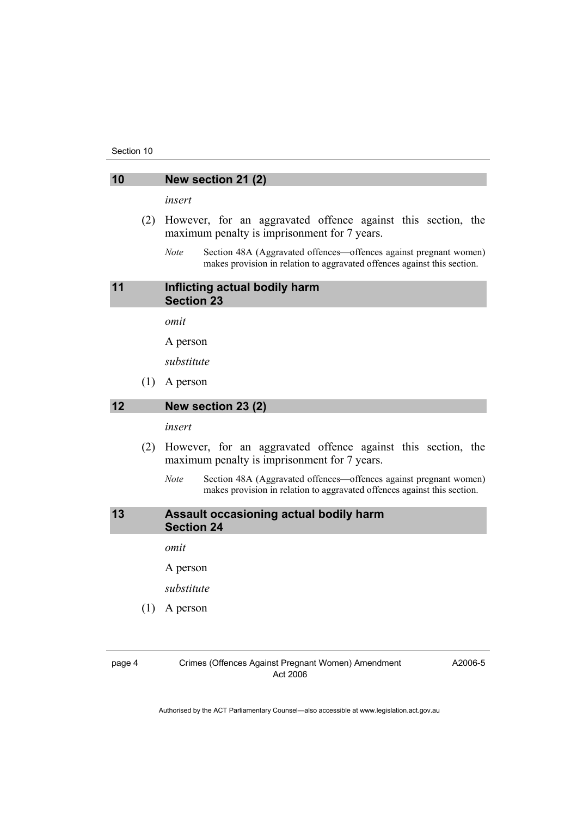#### **10 New section 21 (2)**

*insert* 

- (2) However, for an aggravated offence against this section, the maximum penalty is imprisonment for 7 years.
	- *Note* Section 48A (Aggravated offences—offences against pregnant women) makes provision in relation to aggravated offences against this section.

#### **11 Inflicting actual bodily harm Section 23**

*omit* 

A person

*substitute* 

(1) A person

#### **12 New section 23 (2)**

*insert* 

- (2) However, for an aggravated offence against this section, the maximum penalty is imprisonment for 7 years.
	- *Note* Section 48A (Aggravated offences—offences against pregnant women) makes provision in relation to aggravated offences against this section.

#### **13 Assault occasioning actual bodily harm Section 24**

*omit* 

A person

*substitute* 

(1) A person

page 4 Crimes (Offences Against Pregnant Women) Amendment Act 2006

A2006-5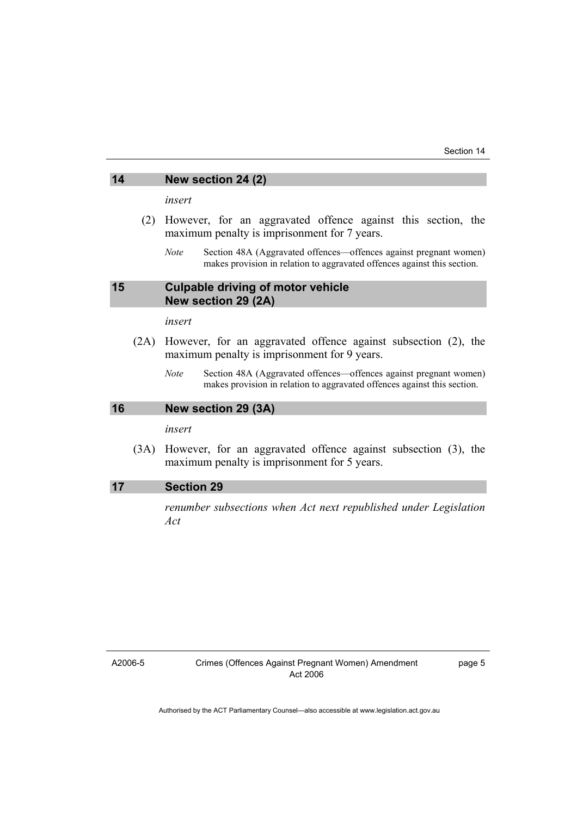### **14 New section 24 (2)**

*insert* 

- (2) However, for an aggravated offence against this section, the maximum penalty is imprisonment for 7 years.
	- *Note* Section 48A (Aggravated offences—offences against pregnant women) makes provision in relation to aggravated offences against this section.

#### **15 Culpable driving of motor vehicle New section 29 (2A)**

*insert* 

- (2A) However, for an aggravated offence against subsection (2), the maximum penalty is imprisonment for 9 years.
	- *Note* Section 48A (Aggravated offences—offences against pregnant women) makes provision in relation to aggravated offences against this section.

#### **16 New section 29 (3A)**

*insert* 

 (3A) However, for an aggravated offence against subsection (3), the maximum penalty is imprisonment for 5 years.

#### **17 Section 29**

*renumber subsections when Act next republished under Legislation Act* 

A2006-5

Crimes (Offences Against Pregnant Women) Amendment Act 2006

page 5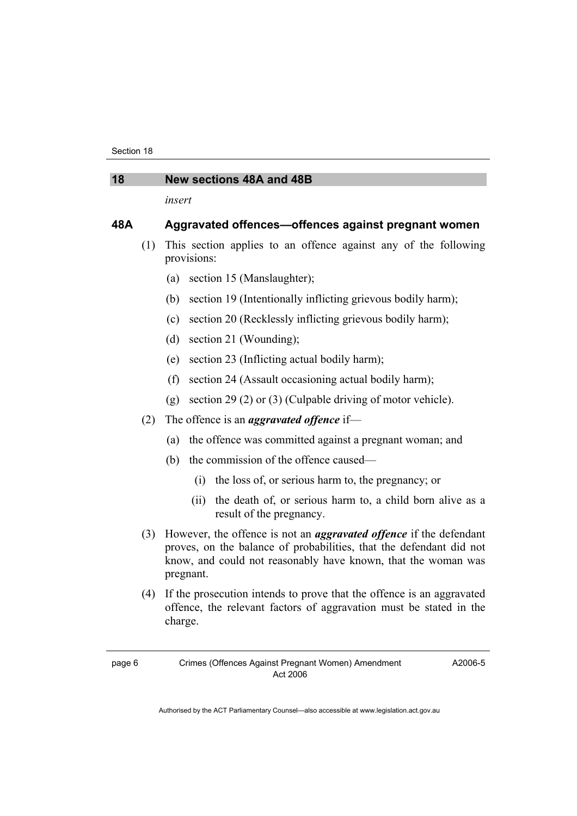#### **18 New sections 48A and 48B**

*insert* 

#### **48A Aggravated offences—offences against pregnant women**

- (1) This section applies to an offence against any of the following provisions:
	- (a) section 15 (Manslaughter);
	- (b) section 19 (Intentionally inflicting grievous bodily harm);
	- (c) section 20 (Recklessly inflicting grievous bodily harm);
	- (d) section 21 (Wounding);
	- (e) section 23 (Inflicting actual bodily harm);
	- (f) section 24 (Assault occasioning actual bodily harm);
	- (g) section 29 (2) or (3) (Culpable driving of motor vehicle).
- (2) The offence is an *aggravated offence* if—
	- (a) the offence was committed against a pregnant woman; and
	- (b) the commission of the offence caused—
		- (i) the loss of, or serious harm to, the pregnancy; or
		- (ii) the death of, or serious harm to, a child born alive as a result of the pregnancy.
- (3) However, the offence is not an *aggravated offence* if the defendant proves, on the balance of probabilities, that the defendant did not know, and could not reasonably have known, that the woman was pregnant.
- (4) If the prosecution intends to prove that the offence is an aggravated offence, the relevant factors of aggravation must be stated in the charge.

A2006-5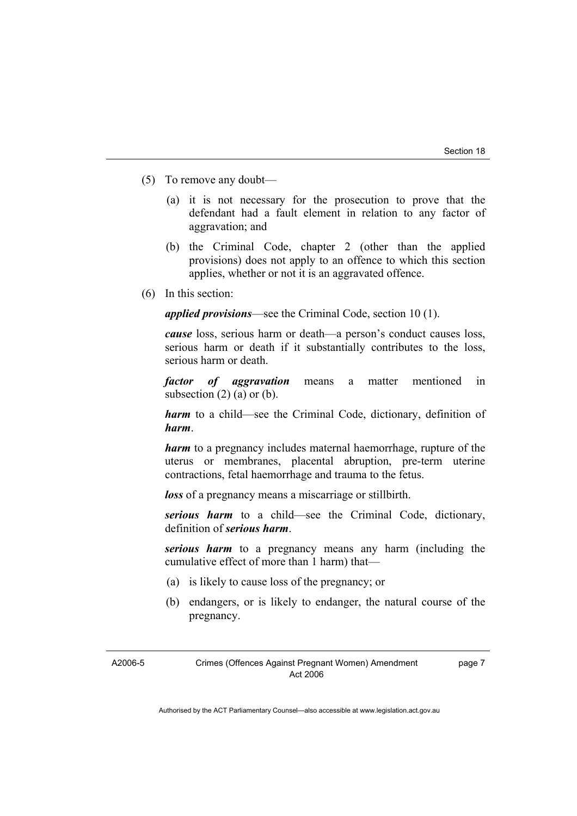- (5) To remove any doubt—
	- (a) it is not necessary for the prosecution to prove that the defendant had a fault element in relation to any factor of aggravation; and
	- (b) the Criminal Code, chapter 2 (other than the applied provisions) does not apply to an offence to which this section applies, whether or not it is an aggravated offence.
- (6) In this section:

*applied provisions*—see the Criminal Code, section 10 (1).

*cause* loss, serious harm or death—a person's conduct causes loss, serious harm or death if it substantially contributes to the loss, serious harm or death.

*factor of aggravation* means a matter mentioned in subsection  $(2)$   $(a)$  or  $(b)$ .

*harm* to a child—see the Criminal Code, dictionary, definition of *harm*.

*harm* to a pregnancy includes maternal haemorrhage, rupture of the uterus or membranes, placental abruption, pre-term uterine contractions, fetal haemorrhage and trauma to the fetus.

*loss* of a pregnancy means a miscarriage or stillbirth.

*serious harm* to a child—see the Criminal Code, dictionary, definition of *serious harm*.

*serious harm* to a pregnancy means any harm (including the cumulative effect of more than 1 harm) that—

- (a) is likely to cause loss of the pregnancy; or
- (b) endangers, or is likely to endanger, the natural course of the pregnancy.

A2006-5

page 7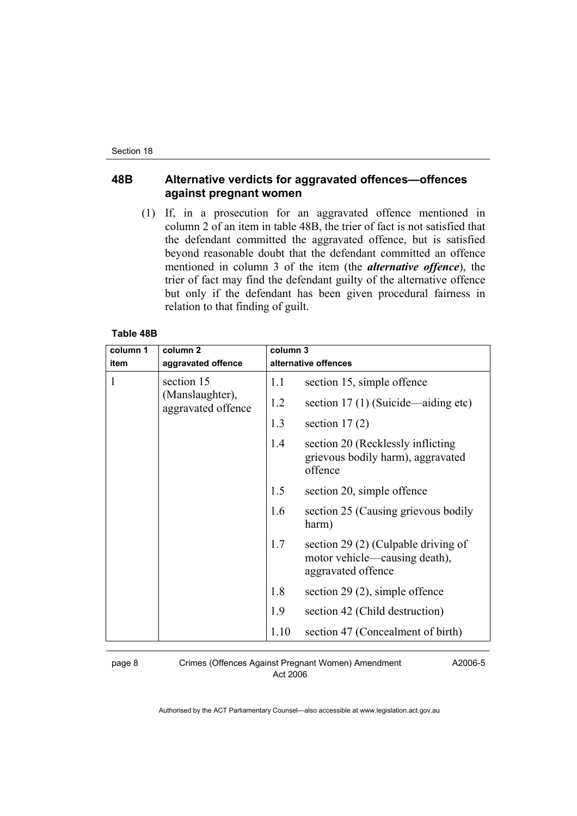#### **48B Alternative verdicts for aggravated offences—offences against pregnant women**

 (1) If, in a prosecution for an aggravated offence mentioned in column 2 of an item in table 48B, the trier of fact is not satisfied that the defendant committed the aggravated offence, but is satisfied beyond reasonable doubt that the defendant committed an offence mentioned in column 3 of the item (the *alternative offence*), the trier of fact may find the defendant guilty of the alternative offence but only if the defendant has been given procedural fairness in relation to that finding of guilt.

#### **Table 48B**

| column 1 | column <sub>2</sub>                   | column 3             |                                                                                            |
|----------|---------------------------------------|----------------------|--------------------------------------------------------------------------------------------|
| item     | aggravated offence                    | alternative offences |                                                                                            |
|          | section 15                            | 1.1                  | section 15, simple offence                                                                 |
|          | (Manslaughter),<br>aggravated offence | 1.2                  | section 17 (1) (Suicide—aiding etc)                                                        |
|          |                                       | 1.3                  | section $17(2)$                                                                            |
|          |                                       | 1.4                  | section 20 (Recklessly inflicting)<br>grievous bodily harm), aggravated<br>offence         |
|          |                                       | 1.5                  | section 20, simple offence                                                                 |
|          |                                       | 1.6                  | section 25 (Causing grievous bodily<br>harm)                                               |
|          |                                       | 1.7                  | section 29 (2) (Culpable driving of<br>motor vehicle—causing death),<br>aggravated offence |
|          |                                       | 1.8                  | section 29 $(2)$ , simple offence                                                          |
|          |                                       | 1.9                  | section 42 (Child destruction)                                                             |
|          |                                       | 1.10                 | section 47 (Concealment of birth)                                                          |

page 8 Crimes (Offences Against Pregnant Women) Amendment Act 2006

A2006-5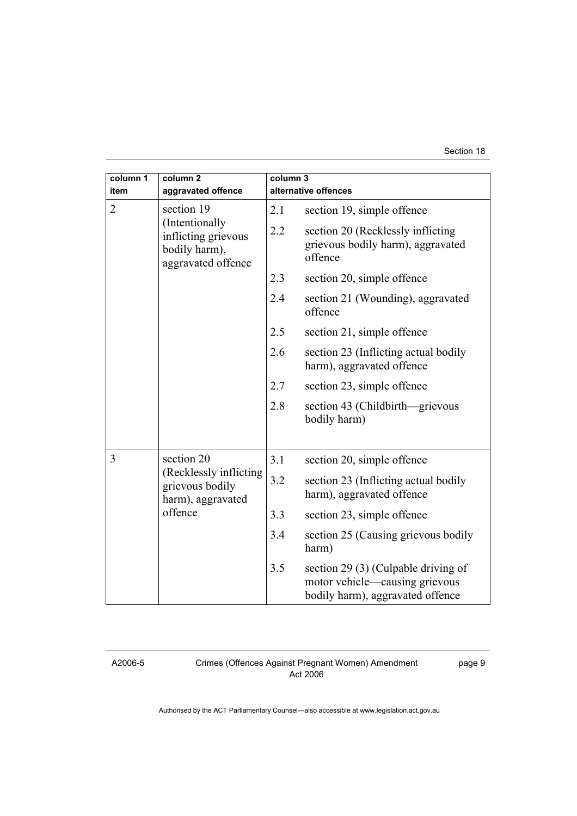#### Section 18

| column 1<br>item | column <sub>2</sub><br>aggravated offence                                                  | column 3<br>alternative offences |                                                                                                           |
|------------------|--------------------------------------------------------------------------------------------|----------------------------------|-----------------------------------------------------------------------------------------------------------|
| $\overline{2}$   |                                                                                            |                                  |                                                                                                           |
|                  | section 19<br>(Intentionally<br>inflicting grievous<br>bodily harm),<br>aggravated offence | 2.1                              | section 19, simple offence                                                                                |
|                  |                                                                                            | 2.2                              | section 20 (Recklessly inflicting<br>grievous bodily harm), aggravated<br>offence                         |
|                  |                                                                                            | 2.3                              | section 20, simple offence                                                                                |
|                  |                                                                                            | 2.4                              | section 21 (Wounding), aggravated<br>offence                                                              |
|                  |                                                                                            | 2.5                              | section 21, simple offence                                                                                |
|                  |                                                                                            | 2.6                              | section 23 (Inflicting actual bodily<br>harm), aggravated offence                                         |
|                  |                                                                                            | 2.7                              | section 23, simple offence                                                                                |
|                  |                                                                                            | 2.8                              | section 43 (Childbirth—grievous<br>bodily harm)                                                           |
|                  |                                                                                            |                                  |                                                                                                           |
| 3                | section 20<br>(Recklessly inflicting<br>grievous bodily<br>harm), aggravated<br>offence    | 3.1                              | section 20, simple offence                                                                                |
|                  |                                                                                            | 3.2                              | section 23 (Inflicting actual bodily<br>harm), aggravated offence                                         |
|                  |                                                                                            | 3.3                              | section 23, simple offence                                                                                |
|                  |                                                                                            | 3.4                              | section 25 (Causing grievous bodily<br>harm)                                                              |
|                  |                                                                                            | 3.5                              | section 29 (3) (Culpable driving of<br>motor vehicle—causing grievous<br>bodily harm), aggravated offence |

A2006-5

Crimes (Offences Against Pregnant Women) Amendment Act 2006

page 9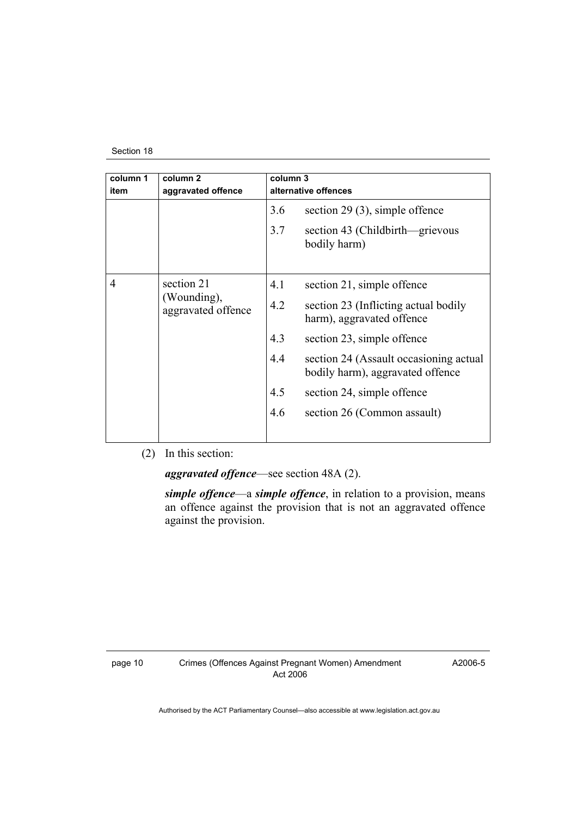#### Section 18

| column 1<br>item | column <sub>2</sub><br>aggravated offence       | column 3<br>alternative offences |                                                                            |
|------------------|-------------------------------------------------|----------------------------------|----------------------------------------------------------------------------|
|                  |                                                 | 3.6                              | section 29 $(3)$ , simple offence                                          |
|                  |                                                 | 3.7                              | section 43 (Childbirth—grievous<br>bodily harm)                            |
| 4                | section 21<br>(Wounding),<br>aggravated offence | 4.1                              | section 21, simple offence                                                 |
|                  |                                                 | 4.2                              | section 23 (Inflicting actual bodily<br>harm), aggravated offence          |
|                  |                                                 | 4.3                              | section 23, simple offence                                                 |
|                  |                                                 | 4.4                              | section 24 (Assault occasioning actual<br>bodily harm), aggravated offence |
|                  |                                                 | 4.5                              | section 24, simple offence                                                 |
|                  |                                                 | 4.6                              | section 26 (Common assault)                                                |
|                  |                                                 |                                  |                                                                            |

(2) In this section:

*aggravated offence*—see section 48A (2).

*simple offence*—a *simple offence*, in relation to a provision, means an offence against the provision that is not an aggravated offence against the provision.

page 10 Crimes (Offences Against Pregnant Women) Amendment Act 2006

A2006-5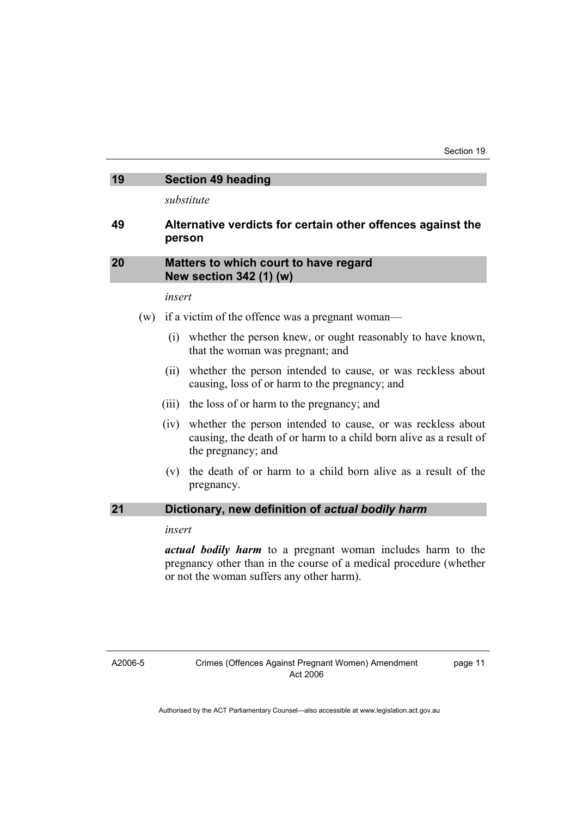| 19 | <b>Section 49 heading</b> |  |
|----|---------------------------|--|
|----|---------------------------|--|

*substitute* 

#### **49 Alternative verdicts for certain other offences against the person**

#### **20 Matters to which court to have regard New section 342 (1) (w)**

#### *insert*

- (w) if a victim of the offence was a pregnant woman—
	- (i) whether the person knew, or ought reasonably to have known, that the woman was pregnant; and
	- (ii) whether the person intended to cause, or was reckless about causing, loss of or harm to the pregnancy; and
	- (iii) the loss of or harm to the pregnancy; and
	- (iv) whether the person intended to cause, or was reckless about causing, the death of or harm to a child born alive as a result of the pregnancy; and
	- (v) the death of or harm to a child born alive as a result of the pregnancy.

#### **21 Dictionary, new definition of** *actual bodily harm*

*insert* 

*actual bodily harm* to a pregnant woman includes harm to the pregnancy other than in the course of a medical procedure (whether or not the woman suffers any other harm).

A2006-5

page 11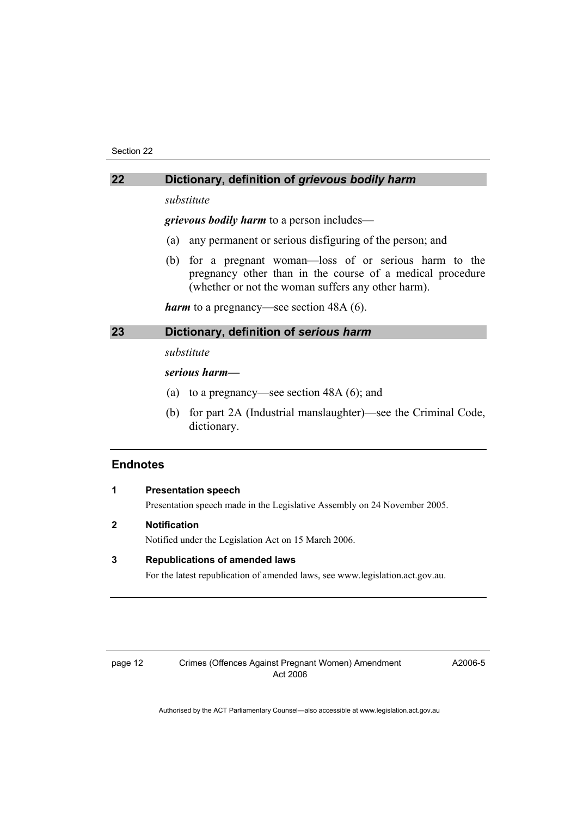### **22 Dictionary, definition of** *grievous bodily harm*

*substitute* 

*grievous bodily harm* to a person includes—

- (a) any permanent or serious disfiguring of the person; and
- (b) for a pregnant woman—loss of or serious harm to the pregnancy other than in the course of a medical procedure (whether or not the woman suffers any other harm).

*harm* to a pregnancy—see section 48A (6).

### **23 Dictionary, definition of** *serious harm*

*substitute* 

#### *serious harm—*

- (a) to a pregnancy—see section 48A (6); and
- (b) for part 2A (Industrial manslaughter)—see the Criminal Code, dictionary.

### **Endnotes**

|   | <b>Presentation speech</b>                                                    |
|---|-------------------------------------------------------------------------------|
|   | Presentation speech made in the Legislative Assembly on 24 November 2005.     |
| 2 | <b>Notification</b>                                                           |
|   | Notified under the Legislation Act on 15 March 2006.                          |
| 3 | <b>Republications of amended laws</b>                                         |
|   | For the latest republication of amended laws, see www.legislation.act.gov.au. |
|   |                                                                               |
|   |                                                                               |

A2006-5